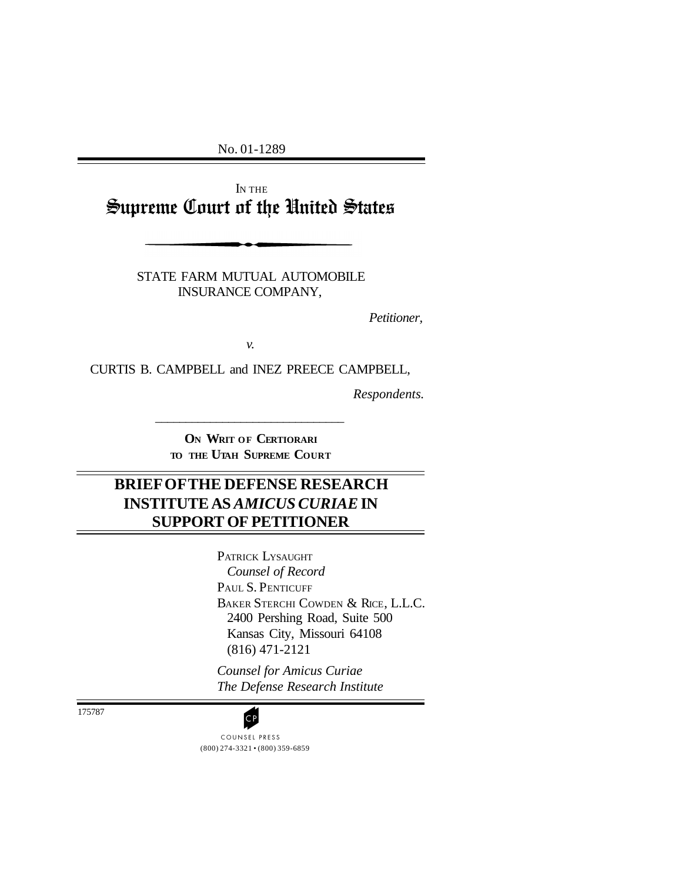No. 01-1289

I<sup>N</sup> THE Supreme Court of the United States

> STATE FARM MUTUAL AUTOMOBILE INSURANCE COMPANY,

> > *Petitioner,*

*v.*

CURTIS B. CAMPBELL and INEZ PREECE CAMPBELL,

*Respondents.*

**O<sup>N</sup> WRIT OF CERTIORARI TO THE UTAH SUPREME COURT**

\_\_\_\_\_\_\_\_\_\_\_\_\_\_\_\_\_\_\_\_\_\_\_\_\_\_\_\_\_\_\_

# **BRIEF OFTHE DEFENSE RESEARCH INSTITUTE AS** *AMICUS CURIAE* **IN SUPPORT OF PETITIONER**

PATRICK LYSAUGHT *Counsel of Record* PAUL S. PENTICUFF BAKER STERCHI COWDEN & RICE, L.L.C. 2400 Pershing Road, Suite 500 Kansas City, Missouri 64108 (816) 471-2121

*Counsel for Amicus Curiae The Defense Research Institute*

175787

(800) 274-3321 • (800) 359-6859 **CP**<br>COUNSEL PRESS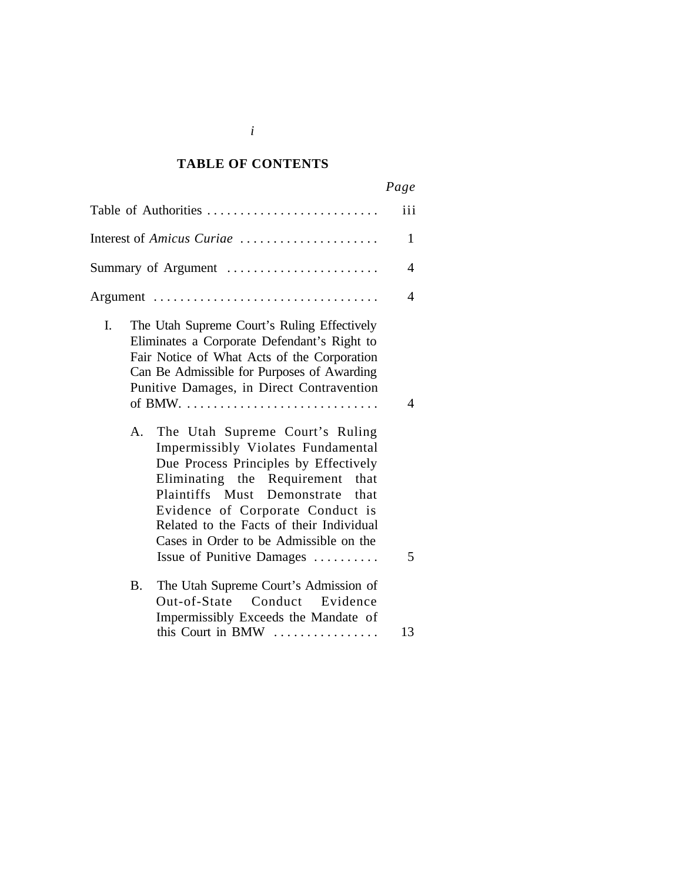### *Cited Authorities* **TABLE OF CONTENTS**

| Table of Authorities                                                                                                                                                                                                                                                                                                                                            | iii<br>$\mathbf{1}$      |
|-----------------------------------------------------------------------------------------------------------------------------------------------------------------------------------------------------------------------------------------------------------------------------------------------------------------------------------------------------------------|--------------------------|
|                                                                                                                                                                                                                                                                                                                                                                 |                          |
| Interest of Amicus Curiae                                                                                                                                                                                                                                                                                                                                       |                          |
| Summary of Argument                                                                                                                                                                                                                                                                                                                                             | $\overline{4}$           |
| Argument                                                                                                                                                                                                                                                                                                                                                        | $\overline{\mathcal{A}}$ |
| L.<br>The Utah Supreme Court's Ruling Effectively<br>Eliminates a Corporate Defendant's Right to<br>Fair Notice of What Acts of the Corporation<br>Can Be Admissible for Purposes of Awarding<br>Punitive Damages, in Direct Contravention<br>A. The Utah Supreme Court's Ruling<br>Impermissibly Violates Fundamental<br>Due Process Principles by Effectively | $\overline{4}$           |
| Eliminating the Requirement<br>that<br>Plaintiffs Must Demonstrate that<br>Evidence of Corporate Conduct is<br>Related to the Facts of their Individual<br>Cases in Order to be Admissible on the<br>Issue of Punitive Damages                                                                                                                                  | 5                        |
| The Utah Supreme Court's Admission of<br>B.<br>Out-of-State Conduct Evidence<br>Impermissibly Exceeds the Mandate of                                                                                                                                                                                                                                            |                          |
| this Court in BMW                                                                                                                                                                                                                                                                                                                                               | 13                       |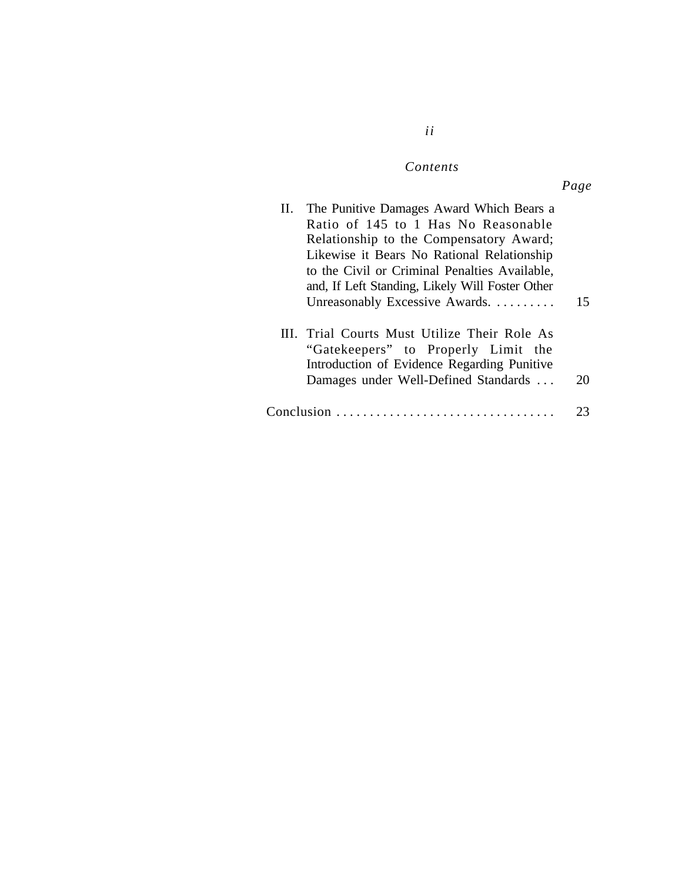## $Contents$

*ii*

| II. The Punitive Damages Award Which Bears a<br>Ratio of 145 to 1 Has No Reasonable<br>Relationship to the Compensatory Award;<br>Likewise it Bears No Rational Relationship<br>to the Civil or Criminal Penalties Available,<br>and, If Left Standing, Likely Will Foster Other |    |
|----------------------------------------------------------------------------------------------------------------------------------------------------------------------------------------------------------------------------------------------------------------------------------|----|
| Unreasonably Excessive Awards.                                                                                                                                                                                                                                                   | 15 |
| III. Trial Courts Must Utilize Their Role As<br>"Gatekeepers" to Properly Limit the<br>Introduction of Evidence Regarding Punitive<br>Damages under Well-Defined Standards                                                                                                       | 20 |
| $Conclusion \dots \dots \dots \dots \dots \dots \dots \dots \dots \dots$                                                                                                                                                                                                         |    |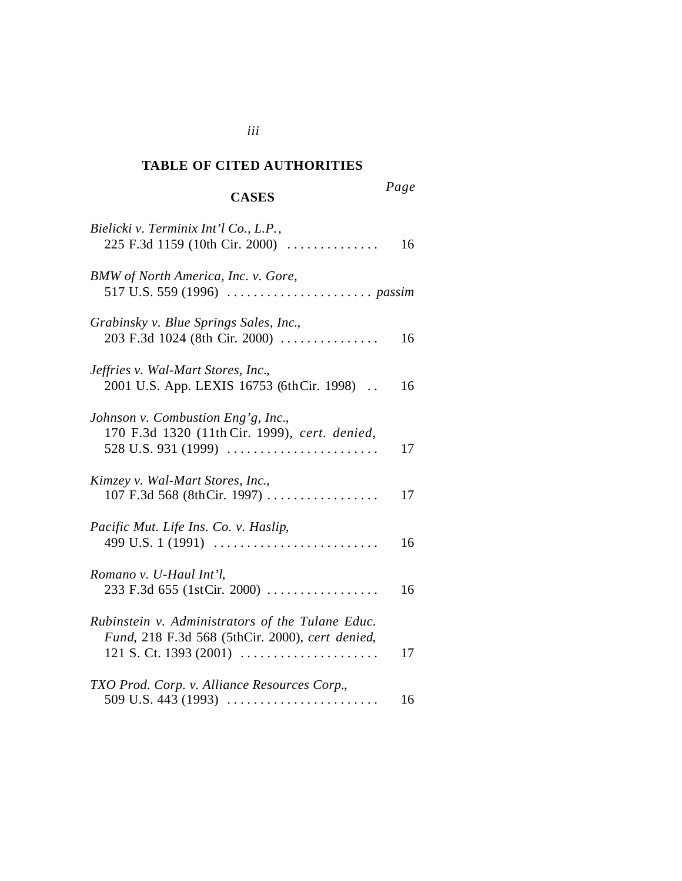### *Cited Authorities* **TABLE OF CITED AUTHORITIES**

## **CASES**

*Page*

| Bielicki v. Terminix Int'l Co., L.P.,<br>225 F.3d 1159 (10th Cir. 2000)                                                                                       | 16 |
|---------------------------------------------------------------------------------------------------------------------------------------------------------------|----|
| BMW of North America, Inc. v. Gore,                                                                                                                           |    |
| Grabinsky v. Blue Springs Sales, Inc.,<br>203 F.3d 1024 (8th Cir. 2000)                                                                                       | 16 |
| Jeffries v. Wal-Mart Stores, Inc.,<br>2001 U.S. App. LEXIS 16753 (6thCir. 1998).                                                                              | 16 |
| Johnson v. Combustion Eng'g, Inc.,<br>170 F.3d 1320 (11th Cir. 1999), cert. denied,<br>528 U.S. 931 (1999) $\ldots \ldots \ldots \ldots \ldots \ldots \ldots$ | 17 |
| Kimzey v. Wal-Mart Stores, Inc.,<br>107 F.3d 568 (8thCir. 1997)                                                                                               | 17 |
| Pacific Mut. Life Ins. Co. v. Haslip,<br>499 U.S. 1 (1991)                                                                                                    | 16 |
| Romano v. U-Haul Int'l,<br>233 F.3d 655 (1stCir. 2000)                                                                                                        | 16 |
| Rubinstein v. Administrators of the Tulane Educ.<br>Fund, 218 F.3d 568 (5thCir. 2000), cert denied,<br>121 S. Ct. 1393 (2001) $\ldots$                        | 17 |
| TXO Prod. Corp. v. Alliance Resources Corp.,                                                                                                                  | 16 |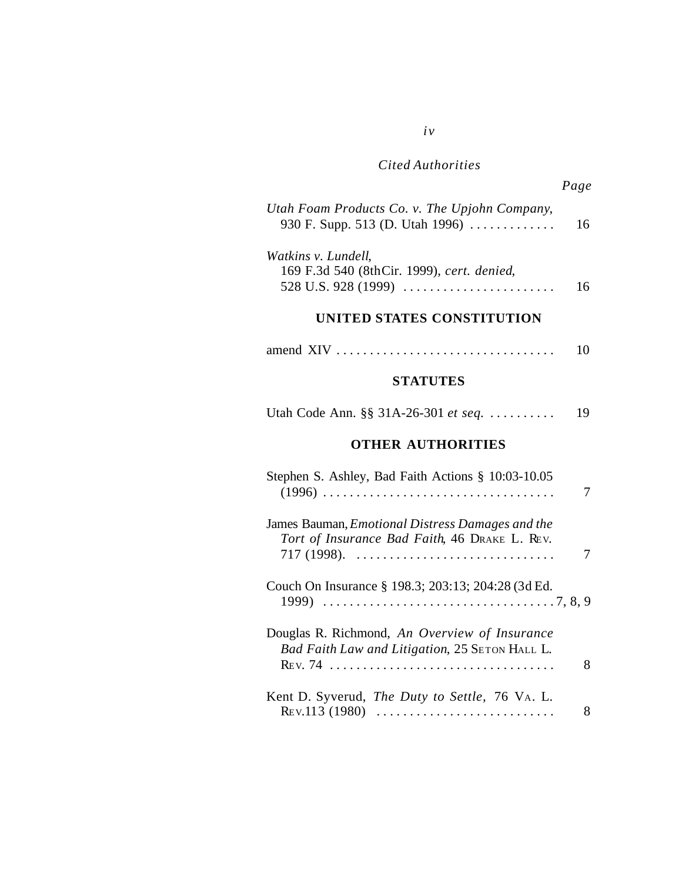## *Cited Authorities*

*iv*

| Utah Foam Products Co. v. The Upjohn Company,<br>930 F. Supp. 513 (D. Utah 1996)                                                            | 16 |
|---------------------------------------------------------------------------------------------------------------------------------------------|----|
| Watkins v. Lundell,<br>169 F.3d 540 (8thCir. 1999), cert. denied,<br>528 U.S. 928 (1999) $\ldots \ldots \ldots \ldots \ldots \ldots \ldots$ | 16 |
| UNITED STATES CONSTITUTION                                                                                                                  |    |
|                                                                                                                                             | 10 |
| <b>STATUTES</b>                                                                                                                             |    |
| Utah Code Ann. §§ 31A-26-301 et seq.                                                                                                        | 19 |
| <b>OTHER AUTHORITIES</b>                                                                                                                    |    |
| Stephen S. Ashley, Bad Faith Actions § 10:03-10.05                                                                                          | 7  |
| James Bauman, Emotional Distress Damages and the<br>Tort of Insurance Bad Faith, 46 DRAKE L. REV.<br>$717$ (1998).                          | 7  |
| Couch On Insurance § 198.3; 203:13; 204:28 (3d Ed.                                                                                          |    |
| Douglas R. Richmond, An Overview of Insurance<br>Bad Faith Law and Litigation, 25 SETON HALL L.                                             | 8  |
| Kent D. Syverud, The Duty to Settle, 76 VA. L.<br>REV.113 (1980)                                                                            | 8  |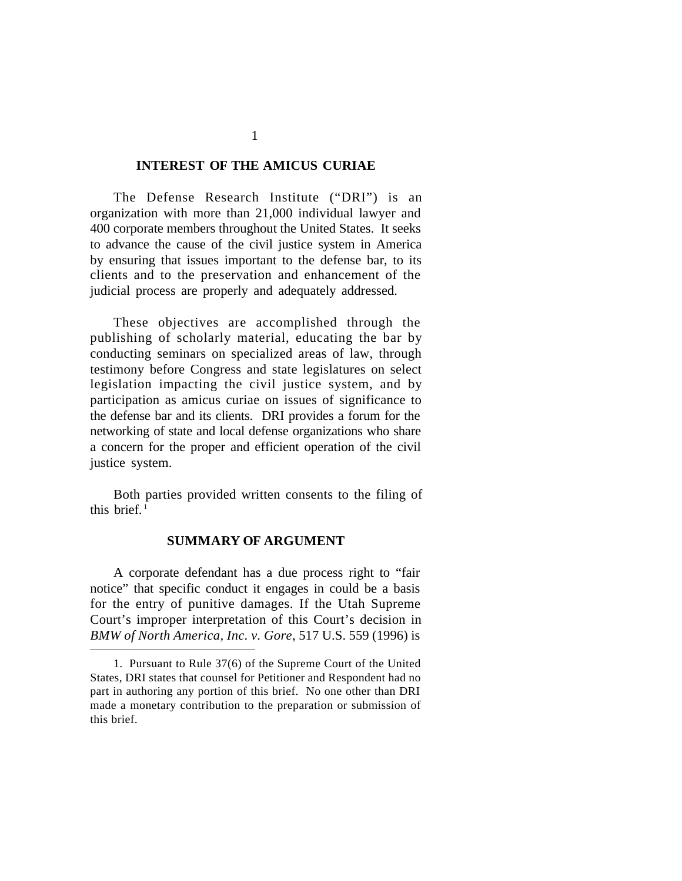#### **INTEREST OF THE AMICUS CURIAE**

The Defense Research Institute ("DRI") is an organization with more than 21,000 individual lawyer and 400 corporate members throughout the United States. It seeks to advance the cause of the civil justice system in America by ensuring that issues important to the defense bar, to its clients and to the preservation and enhancement of the judicial process are properly and adequately addressed.

These objectives are accomplished through the publishing of scholarly material, educating the bar by conducting seminars on specialized areas of law, through testimony before Congress and state legislatures on select legislation impacting the civil justice system, and by participation as amicus curiae on issues of significance to the defense bar and its clients. DRI provides a forum for the networking of state and local defense organizations who share a concern for the proper and efficient operation of the civil justice system.

Both parties provided written consents to the filing of this brief. $1$ 

### **SUMMARY OF ARGUMENT**

A corporate defendant has a due process right to "fair notice" that specific conduct it engages in could be a basis for the entry of punitive damages. If the Utah Supreme Court's improper interpretation of this Court's decision in *BMW of North America, Inc. v. Gore*, 517 U.S. 559 (1996) is

1

<sup>1.</sup> Pursuant to Rule 37(6) of the Supreme Court of the United States, DRI states that counsel for Petitioner and Respondent had no part in authoring any portion of this brief. No one other than DRI made a monetary contribution to the preparation or submission of this brief.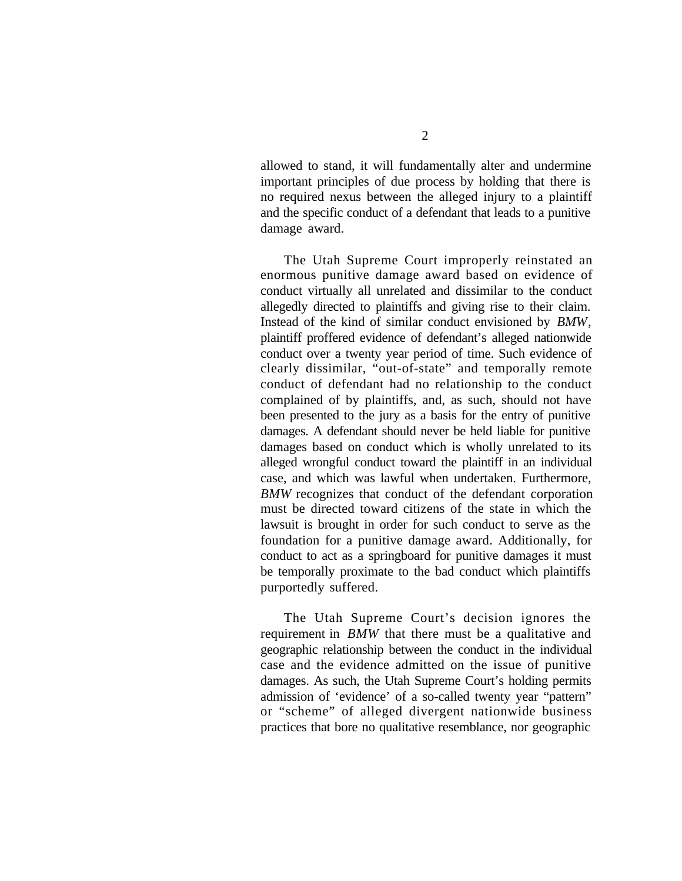allowed to stand, it will fundamentally alter and undermine important principles of due process by holding that there is no required nexus between the alleged injury to a plaintiff and the specific conduct of a defendant that leads to a punitive damage award.

The Utah Supreme Court improperly reinstated an enormous punitive damage award based on evidence of conduct virtually all unrelated and dissimilar to the conduct allegedly directed to plaintiffs and giving rise to their claim. Instead of the kind of similar conduct envisioned by *BMW*, plaintiff proffered evidence of defendant's alleged nationwide conduct over a twenty year period of time. Such evidence of clearly dissimilar, "out-of-state" and temporally remote conduct of defendant had no relationship to the conduct complained of by plaintiffs, and, as such, should not have been presented to the jury as a basis for the entry of punitive damages. A defendant should never be held liable for punitive damages based on conduct which is wholly unrelated to its alleged wrongful conduct toward the plaintiff in an individual case, and which was lawful when undertaken. Furthermore, *BMW* recognizes that conduct of the defendant corporation must be directed toward citizens of the state in which the lawsuit is brought in order for such conduct to serve as the foundation for a punitive damage award. Additionally, for conduct to act as a springboard for punitive damages it must be temporally proximate to the bad conduct which plaintiffs purportedly suffered.

The Utah Supreme Court's decision ignores the requirement in *BMW* that there must be a qualitative and geographic relationship between the conduct in the individual case and the evidence admitted on the issue of punitive damages. As such, the Utah Supreme Court's holding permits admission of 'evidence' of a so-called twenty year "pattern" or "scheme" of alleged divergent nationwide business practices that bore no qualitative resemblance, nor geographic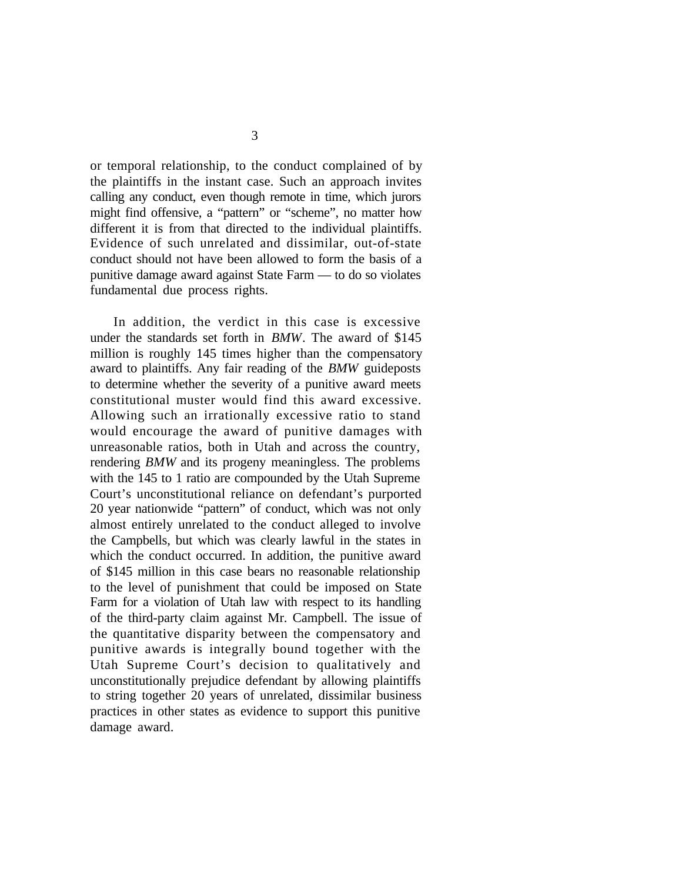or temporal relationship, to the conduct complained of by the plaintiffs in the instant case. Such an approach invites calling any conduct, even though remote in time, which jurors might find offensive, a "pattern" or "scheme", no matter how different it is from that directed to the individual plaintiffs. Evidence of such unrelated and dissimilar, out-of-state conduct should not have been allowed to form the basis of a punitive damage award against State Farm — to do so violates fundamental due process rights.

In addition, the verdict in this case is excessive under the standards set forth in *BMW*. The award of \$145 million is roughly 145 times higher than the compensatory award to plaintiffs. Any fair reading of the *BMW* guideposts to determine whether the severity of a punitive award meets constitutional muster would find this award excessive. Allowing such an irrationally excessive ratio to stand would encourage the award of punitive damages with unreasonable ratios, both in Utah and across the country, rendering *BMW* and its progeny meaningless. The problems with the 145 to 1 ratio are compounded by the Utah Supreme Court's unconstitutional reliance on defendant's purported 20 year nationwide "pattern" of conduct, which was not only almost entirely unrelated to the conduct alleged to involve the Campbells, but which was clearly lawful in the states in which the conduct occurred. In addition, the punitive award of \$145 million in this case bears no reasonable relationship to the level of punishment that could be imposed on State Farm for a violation of Utah law with respect to its handling of the third-party claim against Mr. Campbell. The issue of the quantitative disparity between the compensatory and punitive awards is integrally bound together with the Utah Supreme Court's decision to qualitatively and unconstitutionally prejudice defendant by allowing plaintiffs to string together 20 years of unrelated, dissimilar business practices in other states as evidence to support this punitive damage award.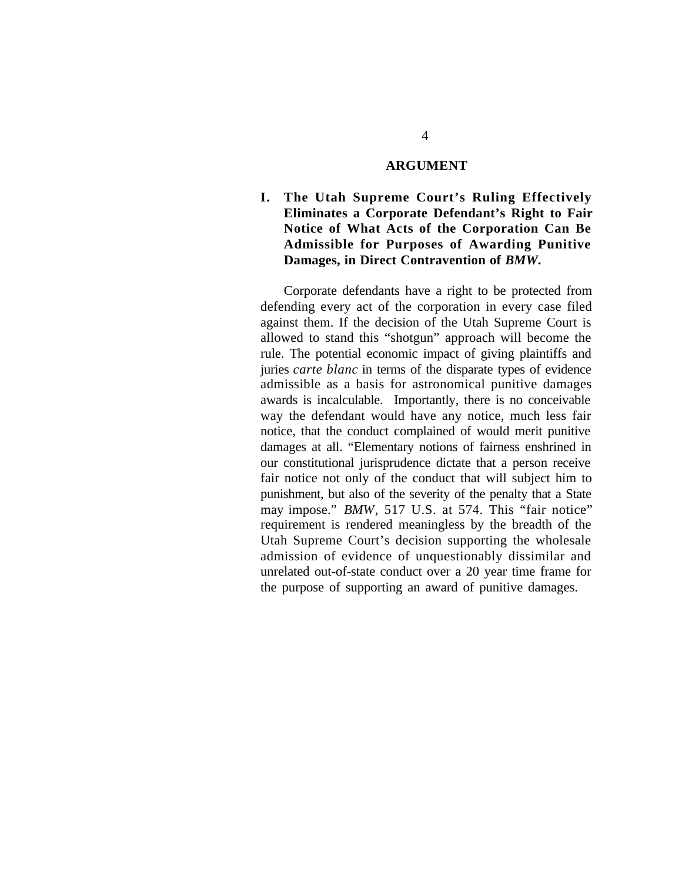#### **ARGUMENT**

## **I. The Utah Supreme Court's Ruling Effectively Eliminates a Corporate Defendant's Right to Fair Notice of What Acts of the Corporation Can Be Admissible for Purposes of Awarding Punitive Damages, in Direct Contravention of** *BMW***.**

Corporate defendants have a right to be protected from defending every act of the corporation in every case filed against them. If the decision of the Utah Supreme Court is allowed to stand this "shotgun" approach will become the rule. The potential economic impact of giving plaintiffs and juries *carte blanc* in terms of the disparate types of evidence admissible as a basis for astronomical punitive damages awards is incalculable. Importantly, there is no conceivable way the defendant would have any notice, much less fair notice, that the conduct complained of would merit punitive damages at all. "Elementary notions of fairness enshrined in our constitutional jurisprudence dictate that a person receive fair notice not only of the conduct that will subject him to punishment, but also of the severity of the penalty that a State may impose." *BMW*, 517 U.S. at 574. This "fair notice" requirement is rendered meaningless by the breadth of the Utah Supreme Court's decision supporting the wholesale admission of evidence of unquestionably dissimilar and unrelated out-of-state conduct over a 20 year time frame for the purpose of supporting an award of punitive damages.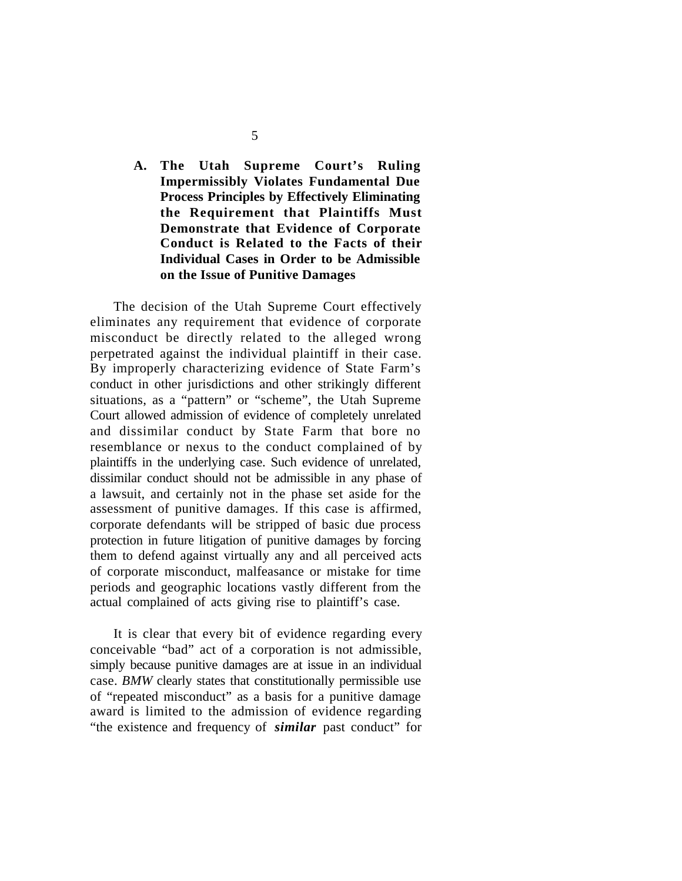## **A. The Utah Supreme Court's Ruling Impermissibly Violates Fundamental Due Process Principles by Effectively Eliminating the Requirement that Plaintiffs Must Demonstrate that Evidence of Corporate Conduct is Related to the Facts of their Individual Cases in Order to be Admissible on the Issue of Punitive Damages**

The decision of the Utah Supreme Court effectively eliminates any requirement that evidence of corporate misconduct be directly related to the alleged wrong perpetrated against the individual plaintiff in their case. By improperly characterizing evidence of State Farm's conduct in other jurisdictions and other strikingly different situations, as a "pattern" or "scheme", the Utah Supreme Court allowed admission of evidence of completely unrelated and dissimilar conduct by State Farm that bore no resemblance or nexus to the conduct complained of by plaintiffs in the underlying case. Such evidence of unrelated, dissimilar conduct should not be admissible in any phase of a lawsuit, and certainly not in the phase set aside for the assessment of punitive damages. If this case is affirmed, corporate defendants will be stripped of basic due process protection in future litigation of punitive damages by forcing them to defend against virtually any and all perceived acts of corporate misconduct, malfeasance or mistake for time periods and geographic locations vastly different from the actual complained of acts giving rise to plaintiff's case.

It is clear that every bit of evidence regarding every conceivable "bad" act of a corporation is not admissible, simply because punitive damages are at issue in an individual case. *BMW* clearly states that constitutionally permissible use of "repeated misconduct" as a basis for a punitive damage award is limited to the admission of evidence regarding "the existence and frequency of *similar* past conduct" for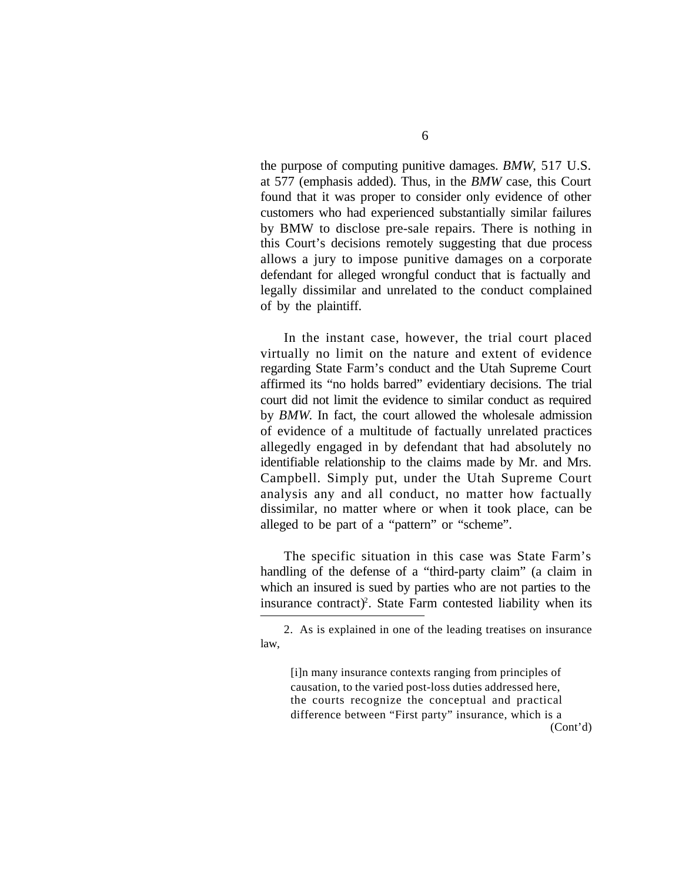the purpose of computing punitive damages. *BMW*, 517 U.S. at 577 (emphasis added). Thus, in the *BMW* case, this Court found that it was proper to consider only evidence of other customers who had experienced substantially similar failures by BMW to disclose pre-sale repairs. There is nothing in this Court's decisions remotely suggesting that due process allows a jury to impose punitive damages on a corporate defendant for alleged wrongful conduct that is factually and legally dissimilar and unrelated to the conduct complained of by the plaintiff.

In the instant case, however, the trial court placed virtually no limit on the nature and extent of evidence regarding State Farm's conduct and the Utah Supreme Court affirmed its "no holds barred" evidentiary decisions. The trial court did not limit the evidence to similar conduct as required by *BMW*. In fact, the court allowed the wholesale admission of evidence of a multitude of factually unrelated practices allegedly engaged in by defendant that had absolutely no identifiable relationship to the claims made by Mr. and Mrs. Campbell. Simply put, under the Utah Supreme Court analysis any and all conduct, no matter how factually dissimilar, no matter where or when it took place, can be alleged to be part of a "pattern" or "scheme".

The specific situation in this case was State Farm's handling of the defense of a "third-party claim" (a claim in which an insured is sued by parties who are not parties to the insurance contract)<sup>2</sup>. State Farm contested liability when its

[i]n many insurance contexts ranging from principles of causation, to the varied post-loss duties addressed here, the courts recognize the conceptual and practical difference between "First party" insurance, which is a (Cont'd)

<sup>2.</sup> As is explained in one of the leading treatises on insurance law,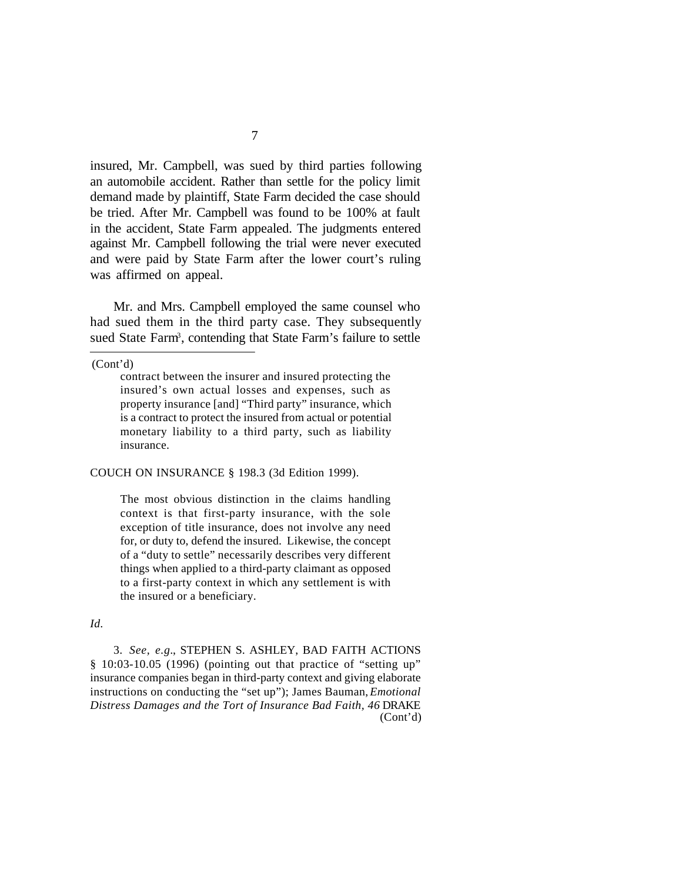insured, Mr. Campbell, was sued by third parties following an automobile accident. Rather than settle for the policy limit demand made by plaintiff, State Farm decided the case should be tried. After Mr. Campbell was found to be 100% at fault in the accident, State Farm appealed. The judgments entered against Mr. Campbell following the trial were never executed and were paid by State Farm after the lower court's ruling was affirmed on appeal.

Mr. and Mrs. Campbell employed the same counsel who had sued them in the third party case. They subsequently sued State Farm<sup>3</sup>, contending that State Farm's failure to settle

(Cont'd)

COUCH ON INSURANCE § 198.3 (3d Edition 1999).

The most obvious distinction in the claims handling context is that first-party insurance, with the sole exception of title insurance, does not involve any need for, or duty to, defend the insured. Likewise, the concept of a "duty to settle" necessarily describes very different things when applied to a third-party claimant as opposed to a first-party context in which any settlement is with the insured or a beneficiary.

#### *Id.*

3. *See, e.g.*, STEPHEN S. ASHLEY, BAD FAITH ACTIONS § 10:03-10.05 (1996) (pointing out that practice of "setting up" insurance companies began in third-party context and giving elaborate instructions on conducting the "set up"); James Bauman, *Emotional Distress Damages and the Tort of Insurance Bad Faith, 46* DRAKE (Cont'd)

contract between the insurer and insured protecting the insured's own actual losses and expenses, such as property insurance [and] "Third party" insurance, which is a contract to protect the insured from actual or potential monetary liability to a third party, such as liability insurance.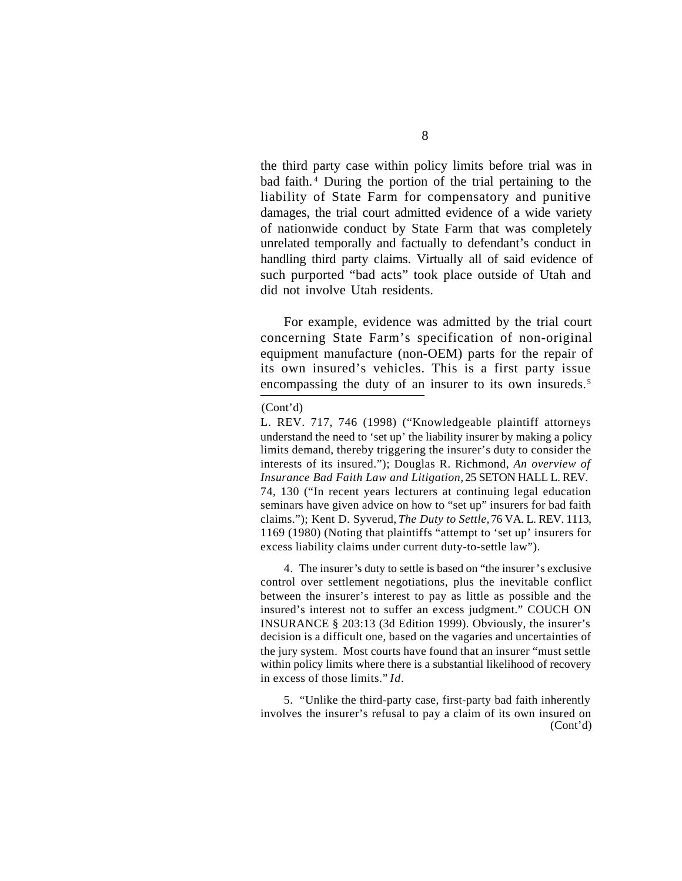the third party case within policy limits before trial was in bad faith. <sup>4</sup> During the portion of the trial pertaining to the liability of State Farm for compensatory and punitive damages, the trial court admitted evidence of a wide variety of nationwide conduct by State Farm that was completely unrelated temporally and factually to defendant's conduct in handling third party claims. Virtually all of said evidence of such purported "bad acts" took place outside of Utah and did not involve Utah residents.

For example, evidence was admitted by the trial court concerning State Farm's specification of non-original equipment manufacture (non-OEM) parts for the repair of its own insured's vehicles. This is a first party issue encompassing the duty of an insurer to its own insureds.<sup>5</sup>

#### (Cont'd)

4. The insurer's duty to settle is based on "the insurer's exclusive control over settlement negotiations, plus the inevitable conflict between the insurer's interest to pay as little as possible and the insured's interest not to suffer an excess judgment." COUCH ON INSURANCE § 203:13 (3d Edition 1999). Obviously, the insurer's decision is a difficult one, based on the vagaries and uncertainties of the jury system. Most courts have found that an insurer "must settle within policy limits where there is a substantial likelihood of recovery in excess of those limits." *Id.*

5. "Unlike the third-party case, first-party bad faith inherently involves the insurer's refusal to pay a claim of its own insured on (Cont'd)

L. REV. 717, 746 (1998) ("Knowledgeable plaintiff attorneys understand the need to 'set up' the liability insurer by making a policy limits demand, thereby triggering the insurer's duty to consider the interests of its insured."); Douglas R. Richmond, *An overview of Insurance Bad Faith Law and Litigation,* 25 SETON HALL L. REV. 74, 130 ("In recent years lecturers at continuing legal education seminars have given advice on how to "set up" insurers for bad faith claims."); Kent D. Syverud, *The Duty to Settle,* 76 VA. L. REV. 1113, 1169 (1980) (Noting that plaintiffs "attempt to 'set up' insurers for excess liability claims under current duty-to-settle law").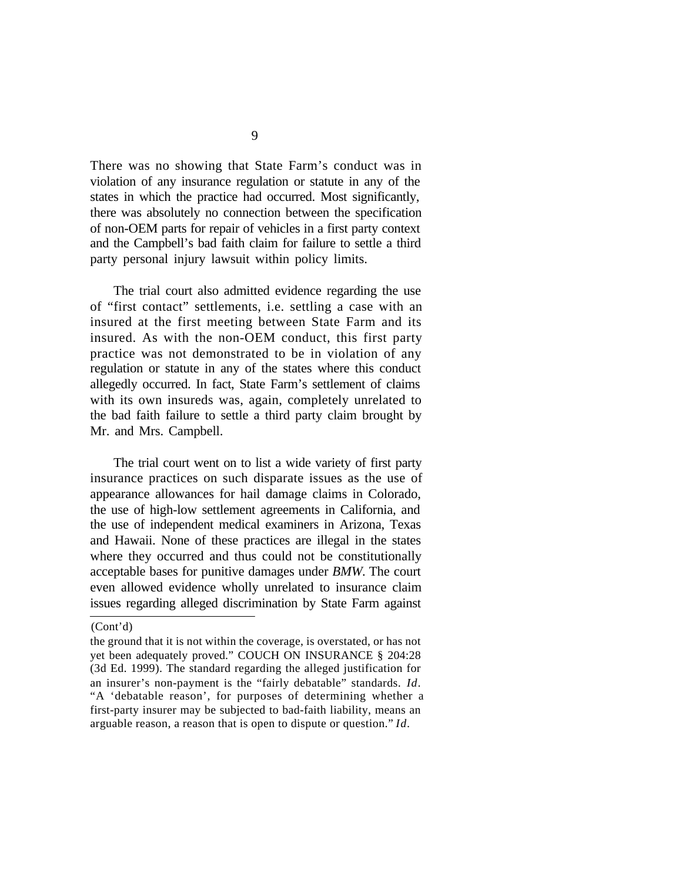There was no showing that State Farm's conduct was in violation of any insurance regulation or statute in any of the states in which the practice had occurred. Most significantly, there was absolutely no connection between the specification of non-OEM parts for repair of vehicles in a first party context and the Campbell's bad faith claim for failure to settle a third party personal injury lawsuit within policy limits.

The trial court also admitted evidence regarding the use of "first contact" settlements, i.e. settling a case with an insured at the first meeting between State Farm and its insured. As with the non-OEM conduct, this first party practice was not demonstrated to be in violation of any regulation or statute in any of the states where this conduct allegedly occurred. In fact, State Farm's settlement of claims with its own insureds was, again, completely unrelated to the bad faith failure to settle a third party claim brought by Mr. and Mrs. Campbell.

The trial court went on to list a wide variety of first party insurance practices on such disparate issues as the use of appearance allowances for hail damage claims in Colorado, the use of high-low settlement agreements in California, and the use of independent medical examiners in Arizona, Texas and Hawaii. None of these practices are illegal in the states where they occurred and thus could not be constitutionally acceptable bases for punitive damages under *BMW.* The court even allowed evidence wholly unrelated to insurance claim issues regarding alleged discrimination by State Farm against

<sup>(</sup>Cont'd)

the ground that it is not within the coverage, is overstated, or has not yet been adequately proved." COUCH ON INSURANCE § 204:28 (3d Ed. 1999). The standard regarding the alleged justification for an insurer's non-payment is the "fairly debatable" standards. *Id.* "A 'debatable reason', for purposes of determining whether a first-party insurer may be subjected to bad-faith liability, means an arguable reason, a reason that is open to dispute or question." *Id.*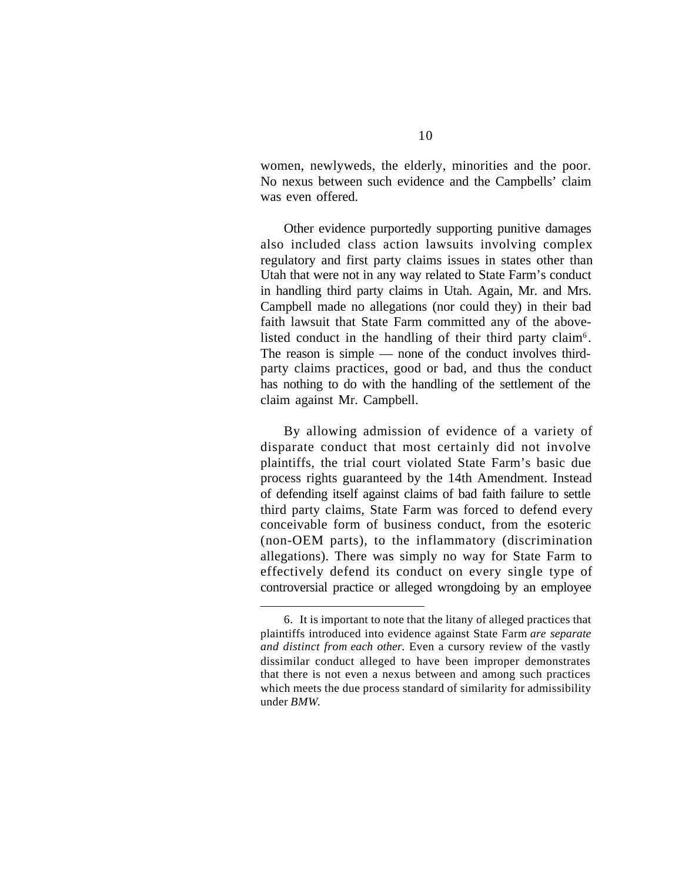women, newlyweds, the elderly, minorities and the poor. No nexus between such evidence and the Campbells' claim was even offered.

Other evidence purportedly supporting punitive damages also included class action lawsuits involving complex regulatory and first party claims issues in states other than Utah that were not in any way related to State Farm's conduct in handling third party claims in Utah. Again, Mr. and Mrs. Campbell made no allegations (nor could they) in their bad faith lawsuit that State Farm committed any of the abovelisted conduct in the handling of their third party claim<sup>6</sup>. The reason is simple — none of the conduct involves thirdparty claims practices, good or bad, and thus the conduct has nothing to do with the handling of the settlement of the claim against Mr. Campbell.

By allowing admission of evidence of a variety of disparate conduct that most certainly did not involve plaintiffs, the trial court violated State Farm's basic due process rights guaranteed by the 14th Amendment. Instead of defending itself against claims of bad faith failure to settle third party claims, State Farm was forced to defend every conceivable form of business conduct, from the esoteric (non-OEM parts), to the inflammatory (discrimination allegations). There was simply no way for State Farm to effectively defend its conduct on every single type of controversial practice or alleged wrongdoing by an employee

<sup>6.</sup> It is important to note that the litany of alleged practices that plaintiffs introduced into evidence against State Farm *are separate and distinct from each other.* Even a cursory review of the vastly dissimilar conduct alleged to have been improper demonstrates that there is not even a nexus between and among such practices which meets the due process standard of similarity for admissibility under *BMW*.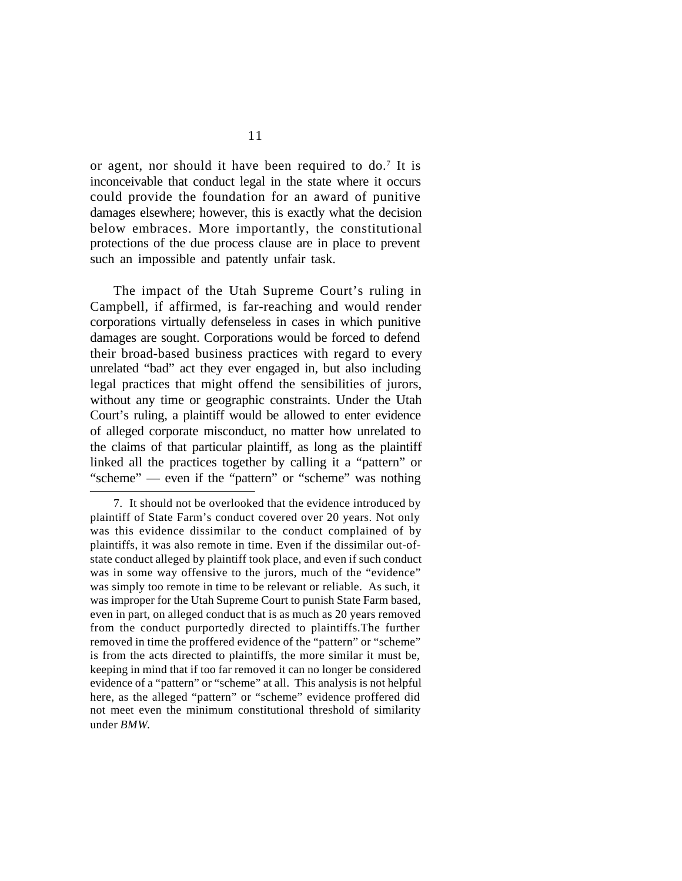or agent, nor should it have been required to do.<sup>7</sup> It is inconceivable that conduct legal in the state where it occurs could provide the foundation for an award of punitive damages elsewhere; however, this is exactly what the decision below embraces. More importantly, the constitutional protections of the due process clause are in place to prevent such an impossible and patently unfair task.

The impact of the Utah Supreme Court's ruling in Campbell, if affirmed, is far-reaching and would render corporations virtually defenseless in cases in which punitive damages are sought. Corporations would be forced to defend their broad-based business practices with regard to every unrelated "bad" act they ever engaged in, but also including legal practices that might offend the sensibilities of jurors, without any time or geographic constraints. Under the Utah Court's ruling, a plaintiff would be allowed to enter evidence of alleged corporate misconduct, no matter how unrelated to the claims of that particular plaintiff, as long as the plaintiff linked all the practices together by calling it a "pattern" or "scheme" — even if the "pattern" or "scheme" was nothing

<sup>7.</sup> It should not be overlooked that the evidence introduced by plaintiff of State Farm's conduct covered over 20 years. Not only was this evidence dissimilar to the conduct complained of by plaintiffs, it was also remote in time. Even if the dissimilar out-ofstate conduct alleged by plaintiff took place, and even if such conduct was in some way offensive to the jurors, much of the "evidence" was simply too remote in time to be relevant or reliable. As such, it was improper for the Utah Supreme Court to punish State Farm based, even in part, on alleged conduct that is as much as 20 years removed from the conduct purportedly directed to plaintiffs.The further removed in time the proffered evidence of the "pattern" or "scheme" is from the acts directed to plaintiffs, the more similar it must be, keeping in mind that if too far removed it can no longer be considered evidence of a "pattern" or "scheme" at all. This analysis is not helpful here, as the alleged "pattern" or "scheme" evidence proffered did not meet even the minimum constitutional threshold of similarity under *BMW*.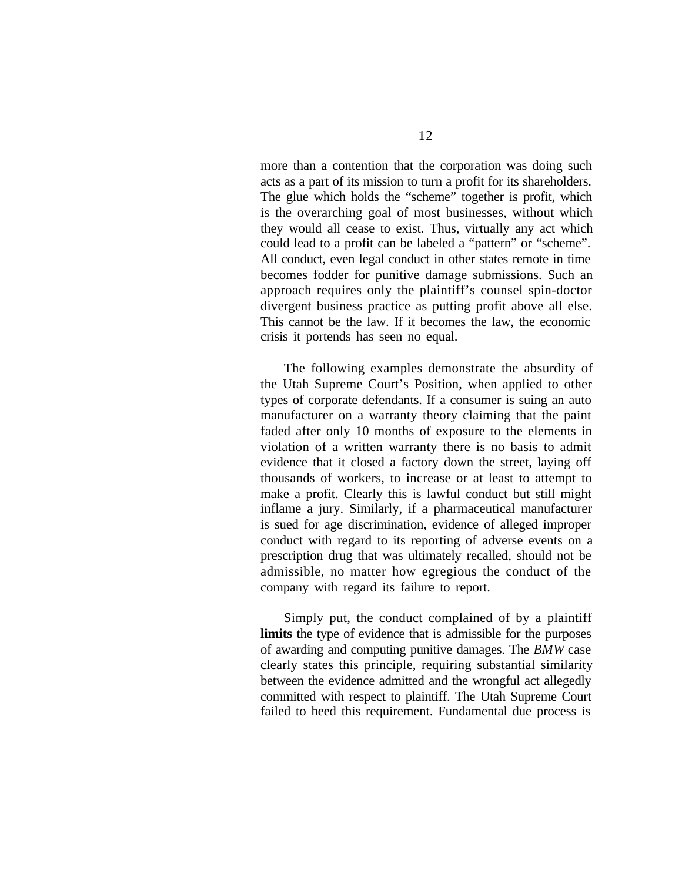more than a contention that the corporation was doing such acts as a part of its mission to turn a profit for its shareholders. The glue which holds the "scheme" together is profit, which is the overarching goal of most businesses, without which they would all cease to exist. Thus, virtually any act which could lead to a profit can be labeled a "pattern" or "scheme". All conduct, even legal conduct in other states remote in time becomes fodder for punitive damage submissions. Such an approach requires only the plaintiff's counsel spin-doctor divergent business practice as putting profit above all else. This cannot be the law. If it becomes the law, the economic crisis it portends has seen no equal.

The following examples demonstrate the absurdity of the Utah Supreme Court's Position, when applied to other types of corporate defendants. If a consumer is suing an auto manufacturer on a warranty theory claiming that the paint faded after only 10 months of exposure to the elements in violation of a written warranty there is no basis to admit evidence that it closed a factory down the street, laying off thousands of workers, to increase or at least to attempt to make a profit. Clearly this is lawful conduct but still might inflame a jury. Similarly, if a pharmaceutical manufacturer is sued for age discrimination, evidence of alleged improper conduct with regard to its reporting of adverse events on a prescription drug that was ultimately recalled, should not be admissible, no matter how egregious the conduct of the company with regard its failure to report.

Simply put, the conduct complained of by a plaintiff **limits** the type of evidence that is admissible for the purposes of awarding and computing punitive damages. The *BMW* case clearly states this principle, requiring substantial similarity between the evidence admitted and the wrongful act allegedly committed with respect to plaintiff. The Utah Supreme Court failed to heed this requirement. Fundamental due process is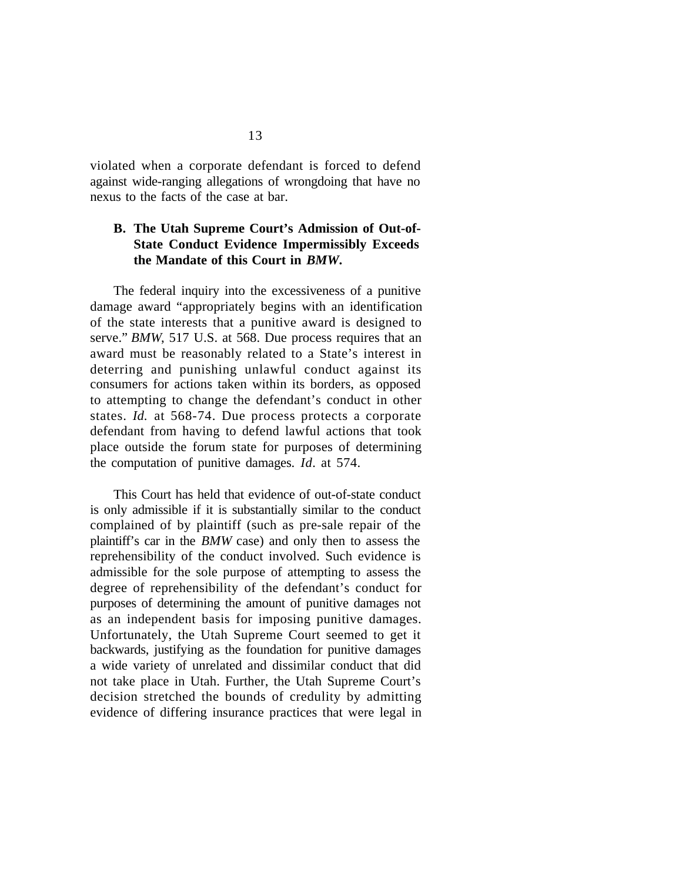violated when a corporate defendant is forced to defend against wide-ranging allegations of wrongdoing that have no nexus to the facts of the case at bar.

## **B. The Utah Supreme Court's Admission of Out-of-State Conduct Evidence Impermissibly Exceeds the Mandate of this Court in** *BMW***.**

The federal inquiry into the excessiveness of a punitive damage award "appropriately begins with an identification of the state interests that a punitive award is designed to serve." *BMW*, 517 U.S. at 568. Due process requires that an award must be reasonably related to a State's interest in deterring and punishing unlawful conduct against its consumers for actions taken within its borders, as opposed to attempting to change the defendant's conduct in other states. *Id.* at 568-74. Due process protects a corporate defendant from having to defend lawful actions that took place outside the forum state for purposes of determining the computation of punitive damages. *Id.* at 574.

This Court has held that evidence of out-of-state conduct is only admissible if it is substantially similar to the conduct complained of by plaintiff (such as pre-sale repair of the plaintiff's car in the *BMW* case) and only then to assess the reprehensibility of the conduct involved. Such evidence is admissible for the sole purpose of attempting to assess the degree of reprehensibility of the defendant's conduct for purposes of determining the amount of punitive damages not as an independent basis for imposing punitive damages. Unfortunately, the Utah Supreme Court seemed to get it backwards, justifying as the foundation for punitive damages a wide variety of unrelated and dissimilar conduct that did not take place in Utah. Further, the Utah Supreme Court's decision stretched the bounds of credulity by admitting evidence of differing insurance practices that were legal in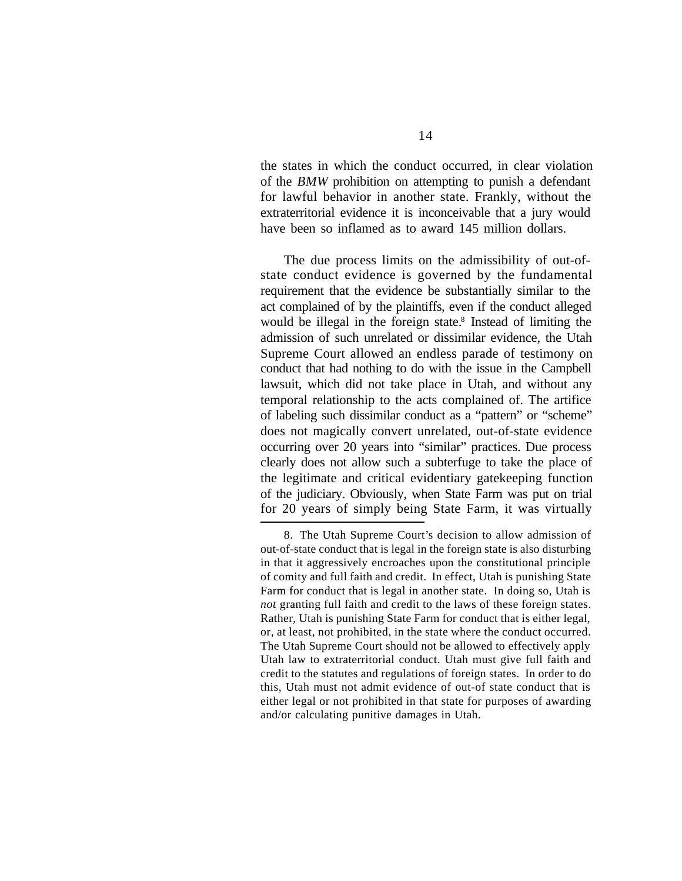the states in which the conduct occurred, in clear violation of the *BMW* prohibition on attempting to punish a defendant for lawful behavior in another state. Frankly, without the extraterritorial evidence it is inconceivable that a jury would have been so inflamed as to award 145 million dollars.

The due process limits on the admissibility of out-ofstate conduct evidence is governed by the fundamental requirement that the evidence be substantially similar to the act complained of by the plaintiffs, even if the conduct alleged would be illegal in the foreign state.<sup>8</sup> Instead of limiting the admission of such unrelated or dissimilar evidence, the Utah Supreme Court allowed an endless parade of testimony on conduct that had nothing to do with the issue in the Campbell lawsuit, which did not take place in Utah, and without any temporal relationship to the acts complained of. The artifice of labeling such dissimilar conduct as a "pattern" or "scheme" does not magically convert unrelated, out-of-state evidence occurring over 20 years into "similar" practices. Due process clearly does not allow such a subterfuge to take the place of the legitimate and critical evidentiary gatekeeping function of the judiciary. Obviously, when State Farm was put on trial for 20 years of simply being State Farm, it was virtually

<sup>8.</sup> The Utah Supreme Court's decision to allow admission of out-of-state conduct that is legal in the foreign state is also disturbing in that it aggressively encroaches upon the constitutional principle of comity and full faith and credit. In effect, Utah is punishing State Farm for conduct that is legal in another state. In doing so, Utah is *not* granting full faith and credit to the laws of these foreign states. Rather, Utah is punishing State Farm for conduct that is either legal, or, at least, not prohibited, in the state where the conduct occurred. The Utah Supreme Court should not be allowed to effectively apply Utah law to extraterritorial conduct. Utah must give full faith and credit to the statutes and regulations of foreign states. In order to do this, Utah must not admit evidence of out-of state conduct that is either legal or not prohibited in that state for purposes of awarding and/or calculating punitive damages in Utah.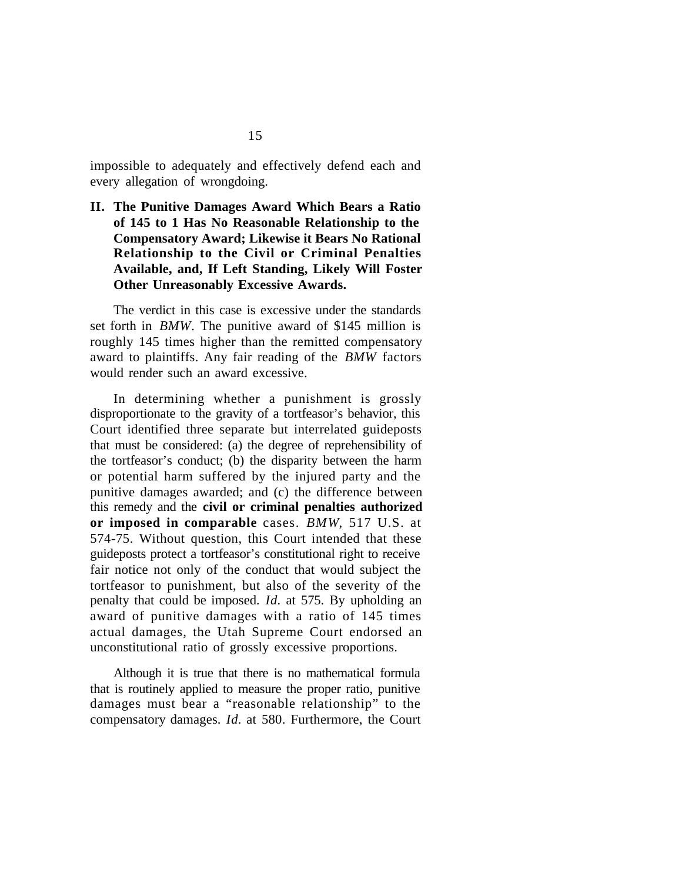impossible to adequately and effectively defend each and every allegation of wrongdoing.

**II. The Punitive Damages Award Which Bears a Ratio of 145 to 1 Has No Reasonable Relationship to the Compensatory Award; Likewise it Bears No Rational Relationship to the Civil or Criminal Penalties Available, and, If Left Standing, Likely Will Foster Other Unreasonably Excessive Awards.**

The verdict in this case is excessive under the standards set forth in *BMW*. The punitive award of \$145 million is roughly 145 times higher than the remitted compensatory award to plaintiffs. Any fair reading of the *BMW* factors would render such an award excessive.

In determining whether a punishment is grossly disproportionate to the gravity of a tortfeasor's behavior, this Court identified three separate but interrelated guideposts that must be considered: (a) the degree of reprehensibility of the tortfeasor's conduct; (b) the disparity between the harm or potential harm suffered by the injured party and the punitive damages awarded; and (c) the difference between this remedy and the **civil or criminal penalties authorized or imposed in comparable** cases. *BMW*, 517 U.S. at 574-75. Without question, this Court intended that these guideposts protect a tortfeasor's constitutional right to receive fair notice not only of the conduct that would subject the tortfeasor to punishment, but also of the severity of the penalty that could be imposed. *Id.* at 575. By upholding an award of punitive damages with a ratio of 145 times actual damages, the Utah Supreme Court endorsed an unconstitutional ratio of grossly excessive proportions.

Although it is true that there is no mathematical formula that is routinely applied to measure the proper ratio, punitive damages must bear a "reasonable relationship" to the compensatory damages. *Id.* at 580. Furthermore, the Court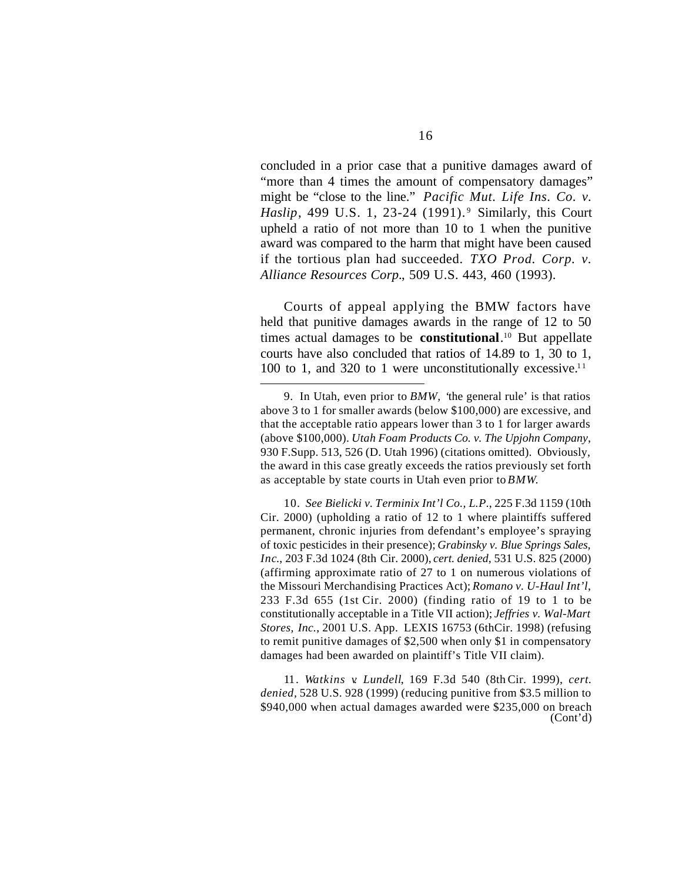concluded in a prior case that a punitive damages award of "more than 4 times the amount of compensatory damages" might be "close to the line." *Pacific Mut. Life Ins. Co. v. Haslip*, 499 U.S. 1, 23-24 (1991).<sup>9</sup> Similarly, this Court upheld a ratio of not more than 10 to 1 when the punitive award was compared to the harm that might have been caused if the tortious plan had succeeded. *TXO Prod. Corp. v. Alliance Resources Corp.*, 509 U.S. 443, 460 (1993).

Courts of appeal applying the BMW factors have held that punitive damages awards in the range of 12 to 50 times actual damages to be **constitutional**. <sup>10</sup> But appellate courts have also concluded that ratios of 14.89 to 1, 30 to 1, 100 to 1, and 320 to 1 were unconstitutionally excessive.<sup>11</sup>

10. *See Bielicki v. Terminix Int'l Co., L.P*., 225 F.3d 1159 (10th Cir. 2000) (upholding a ratio of 12 to 1 where plaintiffs suffered permanent, chronic injuries from defendant's employee's spraying of toxic pesticides in their presence); *Grabinsky v. Blue Springs Sales, Inc*., 203 F.3d 1024 (8th Cir. 2000), *cert. denied*, 531 U.S. 825 (2000) (affirming approximate ratio of 27 to 1 on numerous violations of the Missouri Merchandising Practices Act); *Romano v. U-Haul Int'l*, 233 F.3d 655 (1st Cir. 2000) (finding ratio of 19 to 1 to be constitutionally acceptable in a Title VII action); *Jeffries v. Wal-Mart Stores, Inc.*, 2001 U.S. App. LEXIS 16753 (6thCir. 1998) (refusing to remit punitive damages of \$2,500 when only \$1 in compensatory damages had been awarded on plaintiff's Title VII claim).

11. *Watkins v. Lundell*, 169 F.3d 540 (8th Cir. 1999), *cert. denied,* 528 U.S. 928 (1999) (reducing punitive from \$3.5 million to \$940,000 when actual damages awarded were \$235,000 on breach (Cont'd)

<sup>9.</sup> In Utah, even prior to *BMW, '*the general rule' is that ratios above 3 to 1 for smaller awards (below \$100,000) are excessive, and that the acceptable ratio appears lower than 3 to 1 for larger awards (above \$100,000). *Utah Foam Products Co. v. The Upjohn Company*, 930 F.Supp. 513, 526 (D. Utah 1996) (citations omitted). Obviously, the award in this case greatly exceeds the ratios previously set forth as acceptable by state courts in Utah even prior to *BMW*.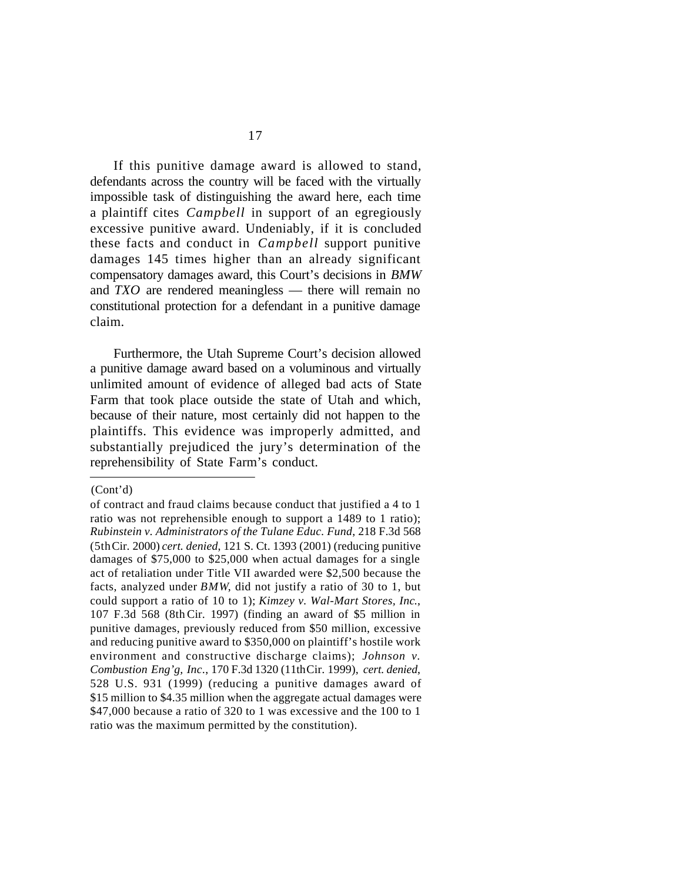If this punitive damage award is allowed to stand, defendants across the country will be faced with the virtually impossible task of distinguishing the award here, each time a plaintiff cites *Campbell* in support of an egregiously excessive punitive award. Undeniably, if it is concluded these facts and conduct in *Campbell* support punitive damages 145 times higher than an already significant compensatory damages award, this Court's decisions in *BMW* and *TXO* are rendered meaningless — there will remain no constitutional protection for a defendant in a punitive damage claim.

Furthermore, the Utah Supreme Court's decision allowed a punitive damage award based on a voluminous and virtually unlimited amount of evidence of alleged bad acts of State Farm that took place outside the state of Utah and which, because of their nature, most certainly did not happen to the plaintiffs. This evidence was improperly admitted, and substantially prejudiced the jury's determination of the reprehensibility of State Farm's conduct.

(Cont'd)

of contract and fraud claims because conduct that justified a 4 to 1 ratio was not reprehensible enough to support a 1489 to 1 ratio); *Rubinstein v. Administrators of the Tulane Educ. Fund*, 218 F.3d 568 (5thCir. 2000) *cert. denied*, 121 S. Ct. 1393 (2001) (reducing punitive damages of \$75,000 to \$25,000 when actual damages for a single act of retaliation under Title VII awarded were \$2,500 because the facts, analyzed under *BMW*, did not justify a ratio of 30 to 1, but could support a ratio of 10 to 1); *Kimzey v. Wal-Mart Stores, Inc*., 107 F.3d 568 (8th Cir. 1997) (finding an award of \$5 million in punitive damages, previously reduced from \$50 million, excessive and reducing punitive award to \$350,000 on plaintiff's hostile work environment and constructive discharge claims); *Johnson v. Combustion Eng'g, Inc*., 170 F.3d 1320 (11thCir. 1999), *cert. denied*, 528 U.S. 931 (1999) (reducing a punitive damages award of \$15 million to \$4.35 million when the aggregate actual damages were \$47,000 because a ratio of 320 to 1 was excessive and the 100 to 1 ratio was the maximum permitted by the constitution).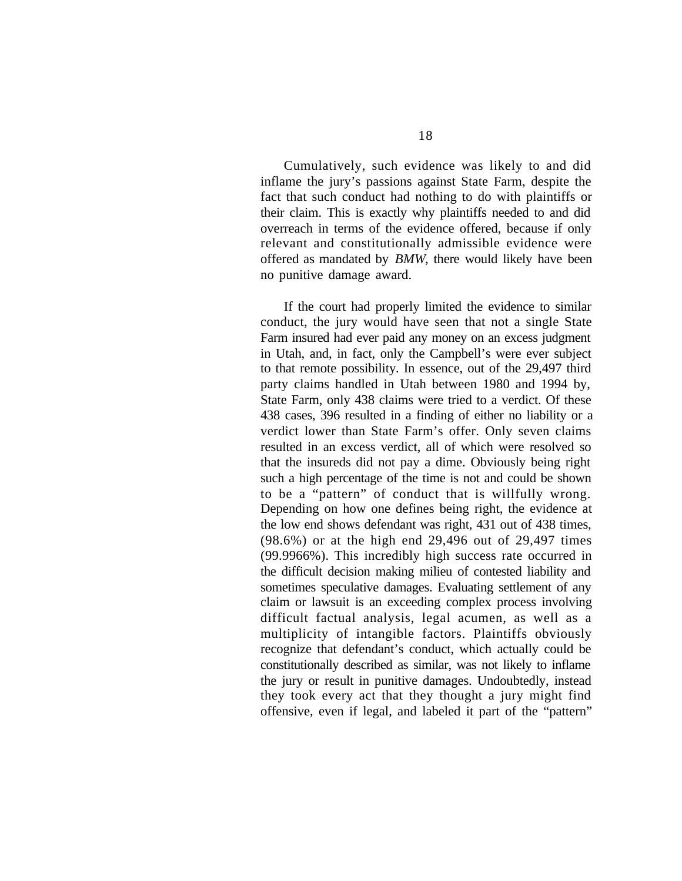Cumulatively, such evidence was likely to and did inflame the jury's passions against State Farm, despite the fact that such conduct had nothing to do with plaintiffs or their claim. This is exactly why plaintiffs needed to and did overreach in terms of the evidence offered, because if only relevant and constitutionally admissible evidence were offered as mandated by *BMW*, there would likely have been no punitive damage award.

If the court had properly limited the evidence to similar conduct, the jury would have seen that not a single State Farm insured had ever paid any money on an excess judgment in Utah, and, in fact, only the Campbell's were ever subject to that remote possibility. In essence, out of the 29,497 third party claims handled in Utah between 1980 and 1994 by, State Farm, only 438 claims were tried to a verdict. Of these 438 cases, 396 resulted in a finding of either no liability or a verdict lower than State Farm's offer. Only seven claims resulted in an excess verdict, all of which were resolved so that the insureds did not pay a dime. Obviously being right such a high percentage of the time is not and could be shown to be a "pattern" of conduct that is willfully wrong. Depending on how one defines being right, the evidence at the low end shows defendant was right, 431 out of 438 times, (98.6%) or at the high end 29,496 out of 29,497 times (99.9966%). This incredibly high success rate occurred in the difficult decision making milieu of contested liability and sometimes speculative damages. Evaluating settlement of any claim or lawsuit is an exceeding complex process involving difficult factual analysis, legal acumen, as well as a multiplicity of intangible factors. Plaintiffs obviously recognize that defendant's conduct, which actually could be constitutionally described as similar, was not likely to inflame the jury or result in punitive damages. Undoubtedly, instead they took every act that they thought a jury might find offensive, even if legal, and labeled it part of the "pattern"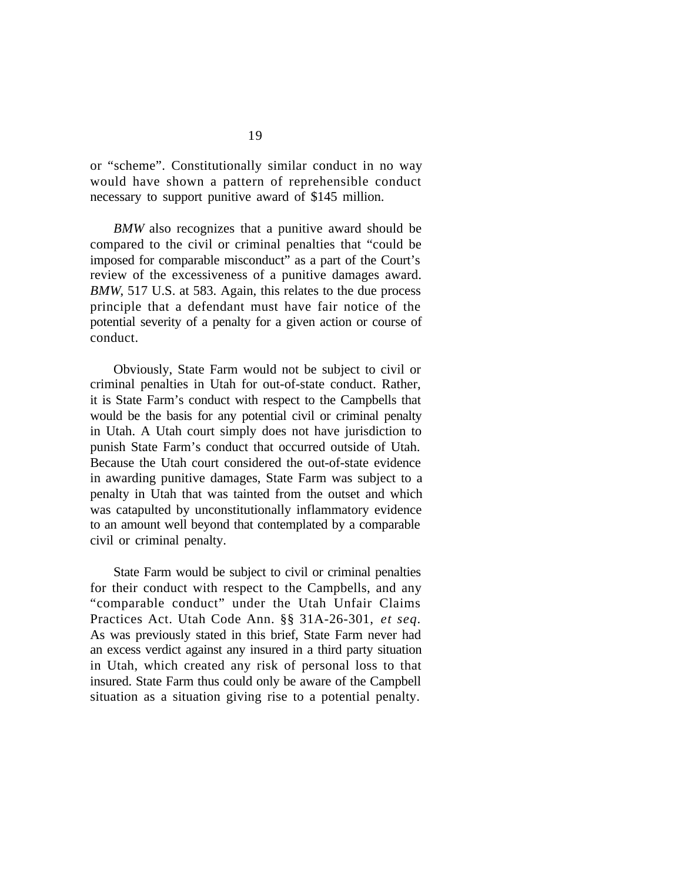or "scheme". Constitutionally similar conduct in no way would have shown a pattern of reprehensible conduct necessary to support punitive award of \$145 million.

*BMW* also recognizes that a punitive award should be compared to the civil or criminal penalties that "could be imposed for comparable misconduct" as a part of the Court's review of the excessiveness of a punitive damages award. *BMW*, 517 U.S. at 583. Again, this relates to the due process principle that a defendant must have fair notice of the potential severity of a penalty for a given action or course of conduct.

Obviously, State Farm would not be subject to civil or criminal penalties in Utah for out-of-state conduct. Rather, it is State Farm's conduct with respect to the Campbells that would be the basis for any potential civil or criminal penalty in Utah. A Utah court simply does not have jurisdiction to punish State Farm's conduct that occurred outside of Utah. Because the Utah court considered the out-of-state evidence in awarding punitive damages, State Farm was subject to a penalty in Utah that was tainted from the outset and which was catapulted by unconstitutionally inflammatory evidence to an amount well beyond that contemplated by a comparable civil or criminal penalty.

State Farm would be subject to civil or criminal penalties for their conduct with respect to the Campbells, and any "comparable conduct" under the Utah Unfair Claims Practices Act. Utah Code Ann. §§ 31A-26-301, *et seq.* As was previously stated in this brief, State Farm never had an excess verdict against any insured in a third party situation in Utah, which created any risk of personal loss to that insured. State Farm thus could only be aware of the Campbell situation as a situation giving rise to a potential penalty.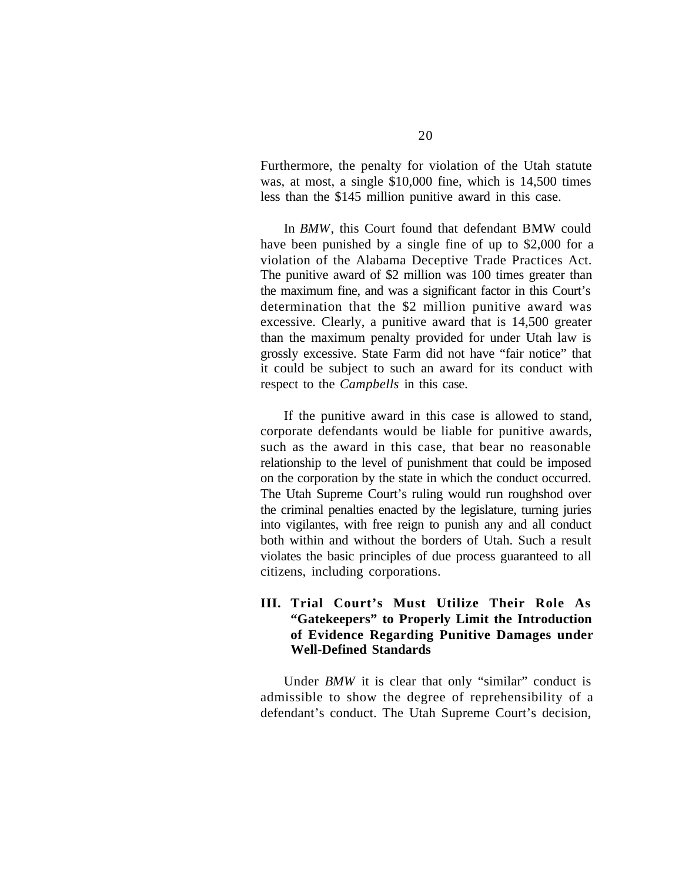Furthermore, the penalty for violation of the Utah statute was, at most, a single \$10,000 fine, which is 14,500 times less than the \$145 million punitive award in this case.

In *BMW*, this Court found that defendant BMW could have been punished by a single fine of up to \$2,000 for a violation of the Alabama Deceptive Trade Practices Act. The punitive award of \$2 million was 100 times greater than the maximum fine, and was a significant factor in this Court's determination that the \$2 million punitive award was excessive. Clearly, a punitive award that is 14,500 greater than the maximum penalty provided for under Utah law is grossly excessive. State Farm did not have "fair notice" that it could be subject to such an award for its conduct with respect to the *Campbells* in this case.

If the punitive award in this case is allowed to stand, corporate defendants would be liable for punitive awards, such as the award in this case, that bear no reasonable relationship to the level of punishment that could be imposed on the corporation by the state in which the conduct occurred. The Utah Supreme Court's ruling would run roughshod over the criminal penalties enacted by the legislature, turning juries into vigilantes, with free reign to punish any and all conduct both within and without the borders of Utah. Such a result violates the basic principles of due process guaranteed to all citizens, including corporations.

## **III. Trial Court's Must Utilize Their Role As "Gatekeepers" to Properly Limit the Introduction of Evidence Regarding Punitive Damages under Well-Defined Standards**

Under *BMW* it is clear that only "similar" conduct is admissible to show the degree of reprehensibility of a defendant's conduct. The Utah Supreme Court's decision,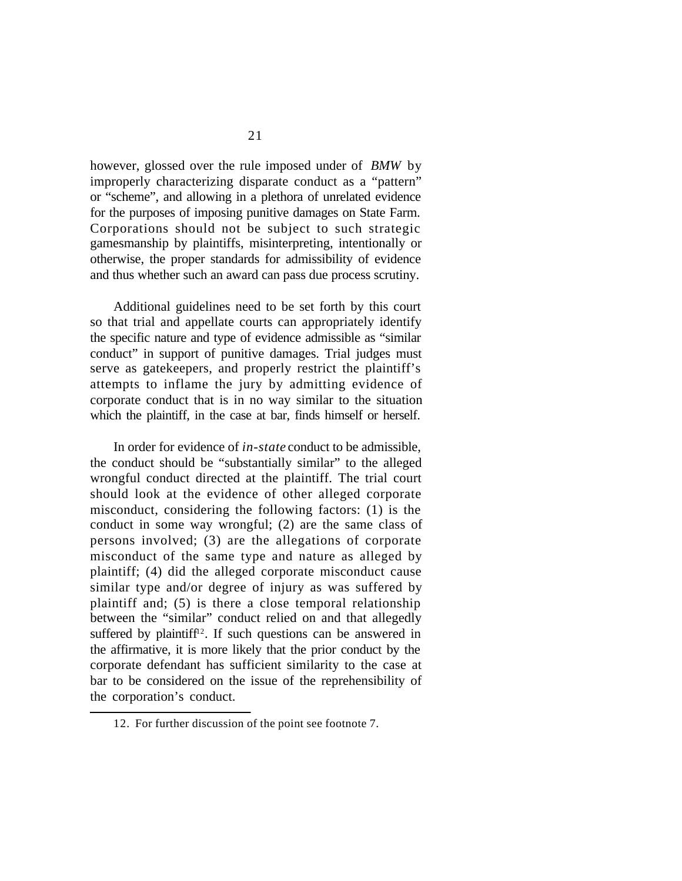however, glossed over the rule imposed under of *BMW* by improperly characterizing disparate conduct as a "pattern" or "scheme", and allowing in a plethora of unrelated evidence for the purposes of imposing punitive damages on State Farm. Corporations should not be subject to such strategic gamesmanship by plaintiffs, misinterpreting, intentionally or otherwise, the proper standards for admissibility of evidence and thus whether such an award can pass due process scrutiny.

Additional guidelines need to be set forth by this court so that trial and appellate courts can appropriately identify the specific nature and type of evidence admissible as "similar conduct" in support of punitive damages. Trial judges must serve as gatekeepers, and properly restrict the plaintiff's attempts to inflame the jury by admitting evidence of corporate conduct that is in no way similar to the situation which the plaintiff, in the case at bar, finds himself or herself.

In order for evidence of *in-state* conduct to be admissible, the conduct should be "substantially similar" to the alleged wrongful conduct directed at the plaintiff. The trial court should look at the evidence of other alleged corporate misconduct, considering the following factors: (1) is the conduct in some way wrongful; (2) are the same class of persons involved; (3) are the allegations of corporate misconduct of the same type and nature as alleged by plaintiff; (4) did the alleged corporate misconduct cause similar type and/or degree of injury as was suffered by plaintiff and; (5) is there a close temporal relationship between the "similar" conduct relied on and that allegedly suffered by plaintiff<sup>12</sup>. If such questions can be answered in the affirmative, it is more likely that the prior conduct by the corporate defendant has sufficient similarity to the case at bar to be considered on the issue of the reprehensibility of the corporation's conduct.

<sup>12.</sup> For further discussion of the point see footnote 7.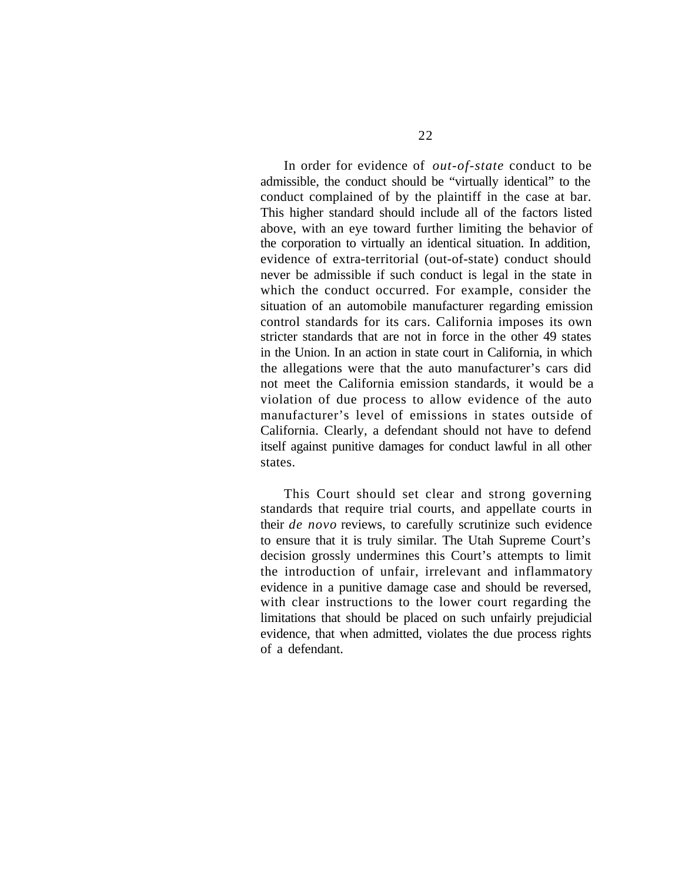In order for evidence of *out-of-state* conduct to be admissible, the conduct should be "virtually identical" to the conduct complained of by the plaintiff in the case at bar. This higher standard should include all of the factors listed above, with an eye toward further limiting the behavior of the corporation to virtually an identical situation. In addition, evidence of extra-territorial (out-of-state) conduct should never be admissible if such conduct is legal in the state in which the conduct occurred. For example, consider the situation of an automobile manufacturer regarding emission control standards for its cars. California imposes its own stricter standards that are not in force in the other 49 states in the Union. In an action in state court in California, in which the allegations were that the auto manufacturer's cars did not meet the California emission standards, it would be a violation of due process to allow evidence of the auto manufacturer's level of emissions in states outside of California. Clearly, a defendant should not have to defend itself against punitive damages for conduct lawful in all other states.

This Court should set clear and strong governing standards that require trial courts, and appellate courts in their *de novo* reviews, to carefully scrutinize such evidence to ensure that it is truly similar. The Utah Supreme Court's decision grossly undermines this Court's attempts to limit the introduction of unfair, irrelevant and inflammatory evidence in a punitive damage case and should be reversed, with clear instructions to the lower court regarding the limitations that should be placed on such unfairly prejudicial evidence, that when admitted, violates the due process rights of a defendant.